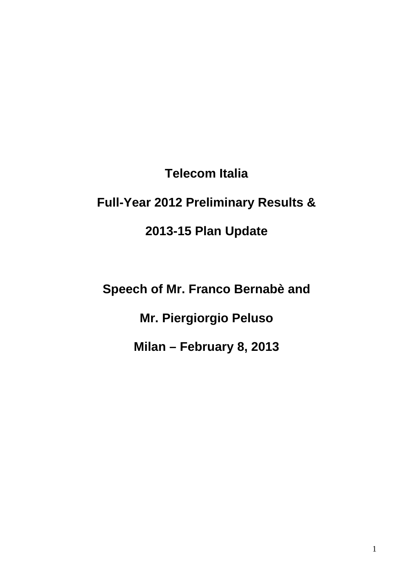**Telecom Italia** 

# **Full-Year 2012 Preliminary Results &**

**2013-15 Plan Update** 

**Speech of Mr. Franco Bernabè and** 

**Mr. Piergiorgio Peluso** 

**Milan – February 8, 2013**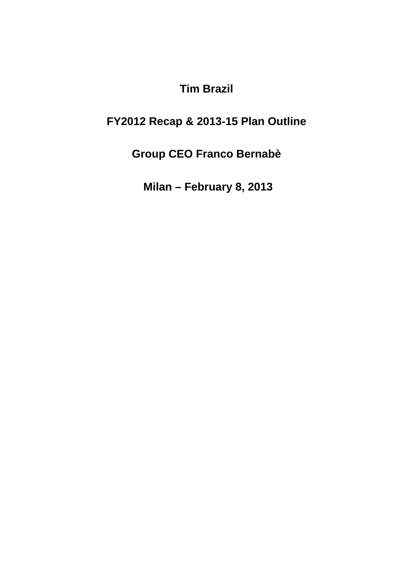**Tim Brazil** 

# **FY2012 Recap & 2013-15 Plan Outline**

**Group CEO Franco Bernabè** 

**Milan – February 8, 2013**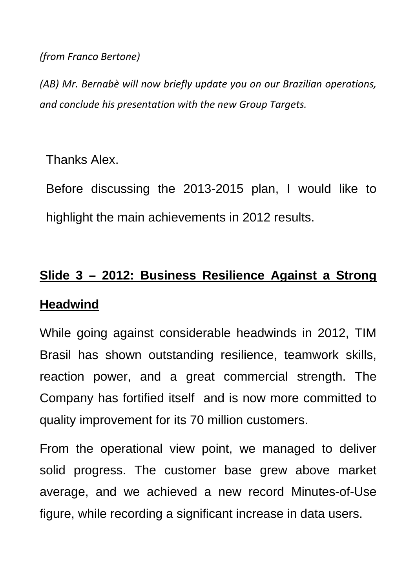#### *(from Franco Bertone)*

*(AB) Mr. Bernabè will now briefly update you on our Brazilian operations, and conclude his presentation with the new Group Targets.*

Thanks Alex.

Before discussing the 2013-2015 plan, I would like to highlight the main achievements in 2012 results.

# **Slide 3 – 2012: Business Resilience Against a Strong Headwind**

While going against considerable headwinds in 2012, TIM Brasil has shown outstanding resilience, teamwork skills, reaction power, and a great commercial strength. The Company has fortified itself and is now more committed to quality improvement for its 70 million customers.

From the operational view point, we managed to deliver solid progress. The customer base grew above market average, and we achieved a new record Minutes-of-Use figure, while recording a significant increase in data users.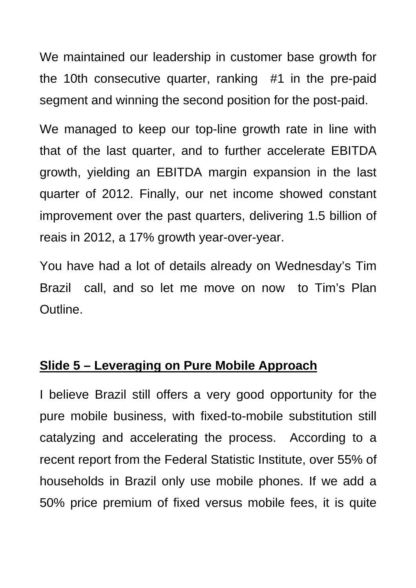We maintained our leadership in customer base growth for the 10th consecutive quarter, ranking #1 in the pre-paid segment and winning the second position for the post-paid.

We managed to keep our top-line growth rate in line with that of the last quarter, and to further accelerate EBITDA growth, yielding an EBITDA margin expansion in the last quarter of 2012. Finally, our net income showed constant improvement over the past quarters, delivering 1.5 billion of reais in 2012, a 17% growth year-over-year.

You have had a lot of details already on Wednesday's Tim Brazil call, and so let me move on now to Tim's Plan Outline.

# **Slide 5 – Leveraging on Pure Mobile Approach**

I believe Brazil still offers a very good opportunity for the pure mobile business, with fixed-to-mobile substitution still catalyzing and accelerating the process. According to a recent report from the Federal Statistic Institute, over 55% of households in Brazil only use mobile phones. If we add a 50% price premium of fixed versus mobile fees, it is quite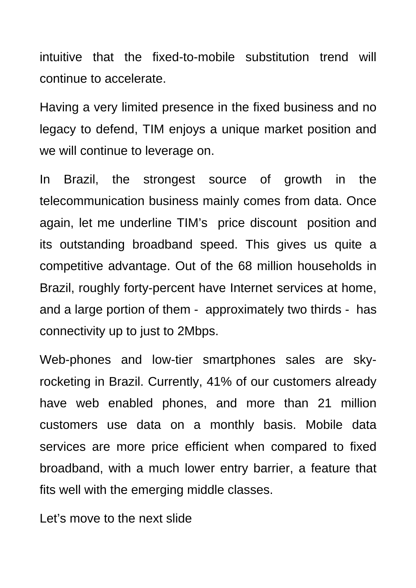intuitive that the fixed-to-mobile substitution trend will continue to accelerate.

Having a very limited presence in the fixed business and no legacy to defend, TIM enjoys a unique market position and we will continue to leverage on.

In Brazil, the strongest source of growth in the telecommunication business mainly comes from data. Once again, let me underline TIM's price discount position and its outstanding broadband speed. This gives us quite a competitive advantage. Out of the 68 million households in Brazil, roughly forty-percent have Internet services at home, and a large portion of them - approximately two thirds - has connectivity up to just to 2Mbps.

Web-phones and low-tier smartphones sales are skyrocketing in Brazil. Currently, 41% of our customers already have web enabled phones, and more than 21 million customers use data on a monthly basis. Mobile data services are more price efficient when compared to fixed broadband, with a much lower entry barrier, a feature that fits well with the emerging middle classes.

Let's move to the next slide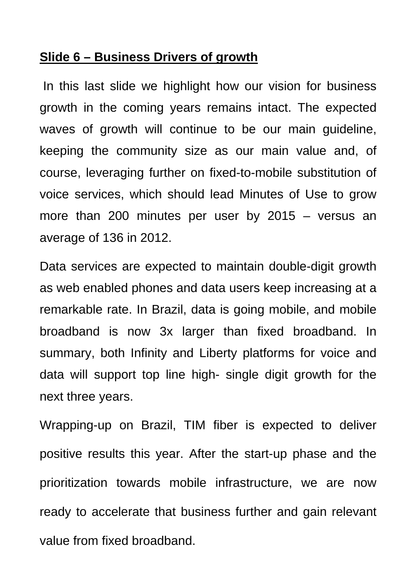# **Slide 6 – Business Drivers of growth**

 In this last slide we highlight how our vision for business growth in the coming years remains intact. The expected waves of growth will continue to be our main guideline, keeping the community size as our main value and, of course, leveraging further on fixed-to-mobile substitution of voice services, which should lead Minutes of Use to grow more than 200 minutes per user by 2015 – versus an average of 136 in 2012.

Data services are expected to maintain double-digit growth as web enabled phones and data users keep increasing at a remarkable rate. In Brazil, data is going mobile, and mobile broadband is now 3x larger than fixed broadband. In summary, both Infinity and Liberty platforms for voice and data will support top line high- single digit growth for the next three years.

Wrapping-up on Brazil, TIM fiber is expected to deliver positive results this year. After the start-up phase and the prioritization towards mobile infrastructure, we are now ready to accelerate that business further and gain relevant value from fixed broadband.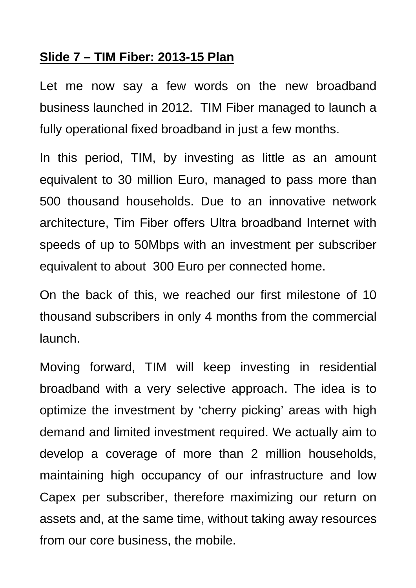# **Slide 7 – TIM Fiber: 2013-15 Plan**

Let me now say a few words on the new broadband business launched in 2012. TIM Fiber managed to launch a fully operational fixed broadband in just a few months.

In this period, TIM, by investing as little as an amount equivalent to 30 million Euro, managed to pass more than 500 thousand households. Due to an innovative network architecture, Tim Fiber offers Ultra broadband Internet with speeds of up to 50Mbps with an investment per subscriber equivalent to about 300 Euro per connected home.

On the back of this, we reached our first milestone of 10 thousand subscribers in only 4 months from the commercial launch.

Moving forward, TIM will keep investing in residential broadband with a very selective approach. The idea is to optimize the investment by 'cherry picking' areas with high demand and limited investment required. We actually aim to develop a coverage of more than 2 million households, maintaining high occupancy of our infrastructure and low Capex per subscriber, therefore maximizing our return on assets and, at the same time, without taking away resources from our core business, the mobile.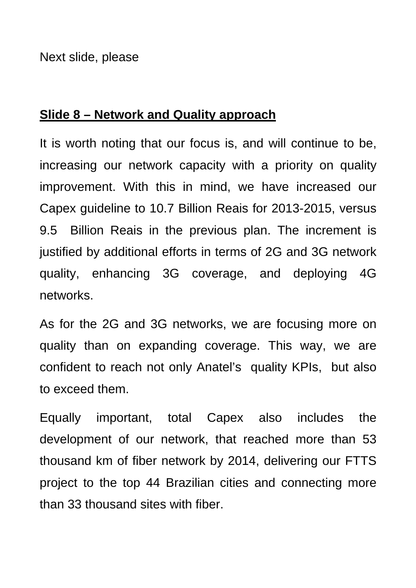Next slide, please

## **Slide 8 – Network and Quality approach**

It is worth noting that our focus is, and will continue to be, increasing our network capacity with a priority on quality improvement. With this in mind, we have increased our Capex guideline to 10.7 Billion Reais for 2013-2015, versus 9.5 Billion Reais in the previous plan. The increment is justified by additional efforts in terms of 2G and 3G network quality, enhancing 3G coverage, and deploying 4G networks.

As for the 2G and 3G networks, we are focusing more on quality than on expanding coverage. This way, we are confident to reach not only Anatel's quality KPIs, but also to exceed them.

Equally important, total Capex also includes the development of our network, that reached more than 53 thousand km of fiber network by 2014, delivering our FTTS project to the top 44 Brazilian cities and connecting more than 33 thousand sites with fiber.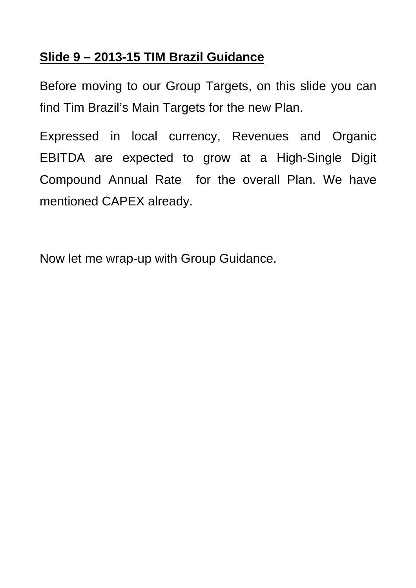# **Slide 9 – 2013-15 TIM Brazil Guidance**

Before moving to our Group Targets, on this slide you can find Tim Brazil's Main Targets for the new Plan.

Expressed in local currency, Revenues and Organic EBITDA are expected to grow at a High-Single Digit Compound Annual Rate for the overall Plan. We have mentioned CAPEX already.

Now let me wrap-up with Group Guidance.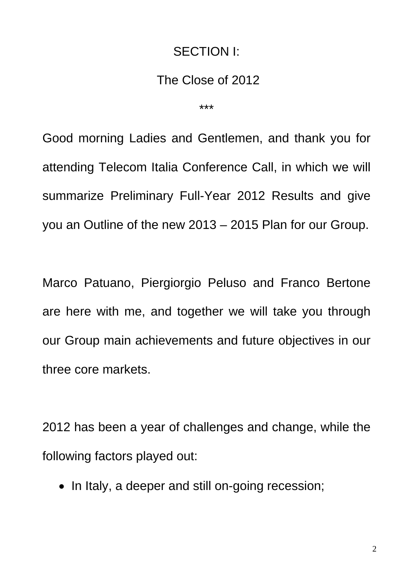## SECTION I:

## The Close of 2012

\*\*\*

Good morning Ladies and Gentlemen, and thank you for attending Telecom Italia Conference Call, in which we will summarize Preliminary Full-Year 2012 Results and give you an Outline of the new 2013 – 2015 Plan for our Group.

Marco Patuano, Piergiorgio Peluso and Franco Bertone are here with me, and together we will take you through our Group main achievements and future objectives in our three core markets.

2012 has been a year of challenges and change, while the following factors played out:

• In Italy, a deeper and still on-going recession;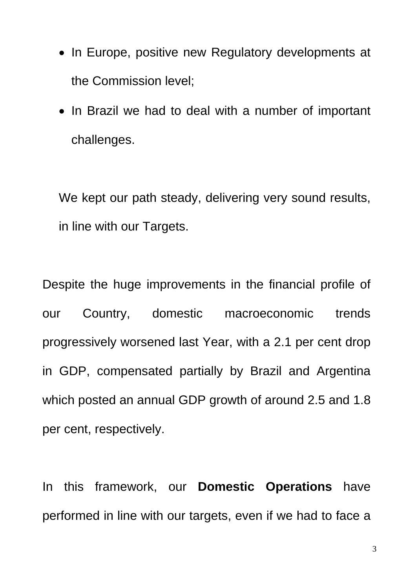- In Europe, positive new Regulatory developments at the Commission level;
- In Brazil we had to deal with a number of important challenges.

We kept our path steady, delivering very sound results, in line with our Targets.

Despite the huge improvements in the financial profile of our Country, domestic macroeconomic trends progressively worsened last Year, with a 2.1 per cent drop in GDP, compensated partially by Brazil and Argentina which posted an annual GDP growth of around 2.5 and 1.8 per cent, respectively.

In this framework, our **Domestic Operations** have performed in line with our targets, even if we had to face a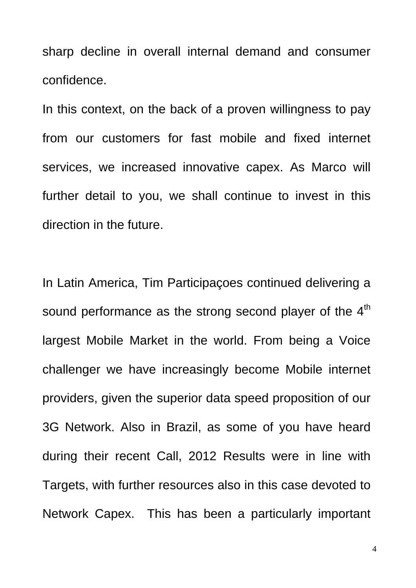sharp decline in overall internal demand and consumer confidence.

In this context, on the back of a proven willingness to pay from our customers for fast mobile and fixed internet services, we increased innovative capex. As Marco will further detail to you, we shall continue to invest in this direction in the future.

In Latin America, Tim Participaçoes continued delivering a sound performance as the strong second player of the  $4<sup>th</sup>$ largest Mobile Market in the world. From being a Voice challenger we have increasingly become Mobile internet providers, given the superior data speed proposition of our 3G Network. Also in Brazil, as some of you have heard during their recent Call, 2012 Results were in line with Targets, with further resources also in this case devoted to Network Capex. This has been a particularly important

4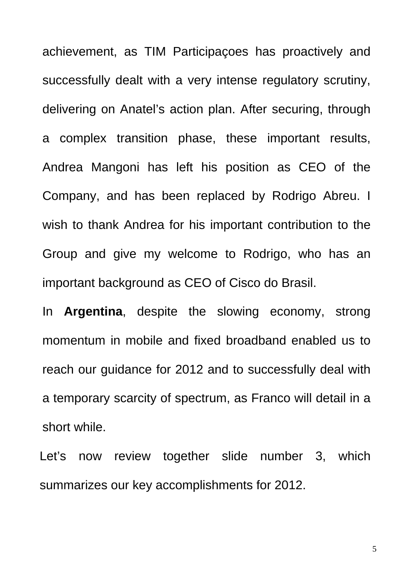achievement, as TIM Participaçoes has proactively and successfully dealt with a very intense regulatory scrutiny, delivering on Anatel's action plan. After securing, through a complex transition phase, these important results, Andrea Mangoni has left his position as CEO of the Company, and has been replaced by Rodrigo Abreu. I wish to thank Andrea for his important contribution to the Group and give my welcome to Rodrigo, who has an important background as CEO of Cisco do Brasil.

In **Argentina**, despite the slowing economy, strong momentum in mobile and fixed broadband enabled us to reach our guidance for 2012 and to successfully deal with a temporary scarcity of spectrum, as Franco will detail in a short while.

Let's now review together slide number 3, which summarizes our key accomplishments for 2012.

5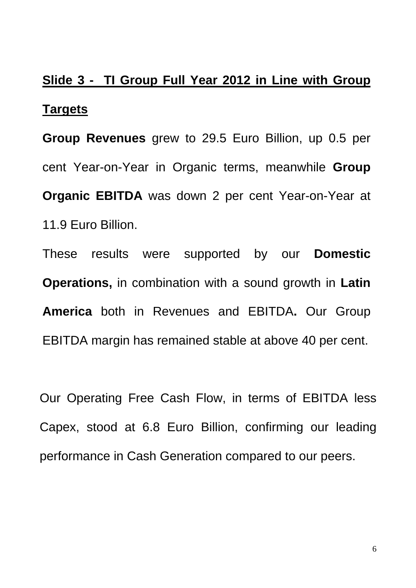# **Slide 3 - TI Group Full Year 2012 in Line with Group Targets**

**Group Revenues** grew to 29.5 Euro Billion, up 0.5 per cent Year-on-Year in Organic terms, meanwhile **Group Organic EBITDA** was down 2 per cent Year-on-Year at 11.9 Euro Billion.

These results were supported by our **Domestic Operations,** in combination with a sound growth in **Latin America** both in Revenues and EBITDA**.** Our Group EBITDA margin has remained stable at above 40 per cent.

Our Operating Free Cash Flow, in terms of EBITDA less Capex, stood at 6.8 Euro Billion, confirming our leading performance in Cash Generation compared to our peers.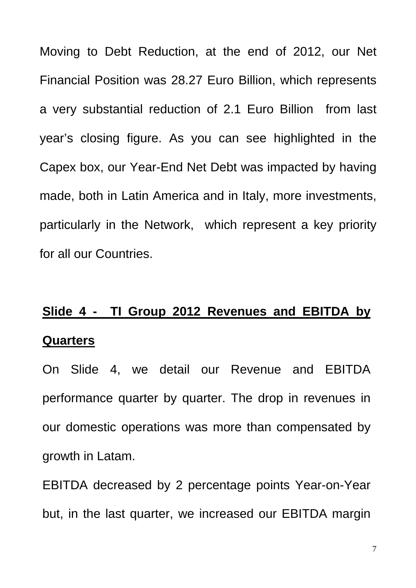Moving to Debt Reduction, at the end of 2012, our Net Financial Position was 28.27 Euro Billion, which represents a very substantial reduction of 2.1 Euro Billion from last year's closing figure. As you can see highlighted in the Capex box, our Year-End Net Debt was impacted by having made, both in Latin America and in Italy, more investments, particularly in the Network, which represent a key priority for all our Countries.

# **Slide 4 - TI Group 2012 Revenues and EBITDA by Quarters**

On Slide 4, we detail our Revenue and EBITDA performance quarter by quarter. The drop in revenues in our domestic operations was more than compensated by growth in Latam.

EBITDA decreased by 2 percentage points Year-on-Year but, in the last quarter, we increased our EBITDA margin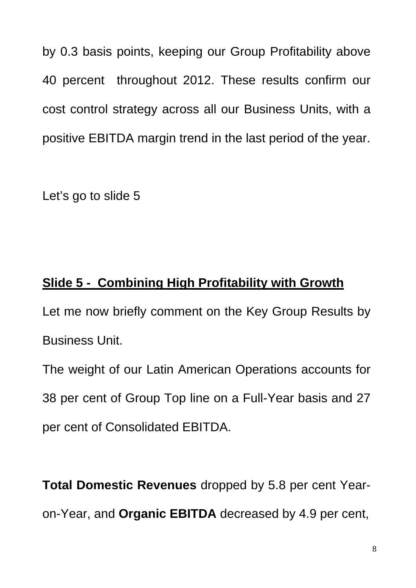by 0.3 basis points, keeping our Group Profitability above 40 percent throughout 2012. These results confirm our cost control strategy across all our Business Units, with a positive EBITDA margin trend in the last period of the year.

Let's go to slide 5

# **Slide 5 - Combining High Profitability with Growth**

Let me now briefly comment on the Key Group Results by Business Unit.

The weight of our Latin American Operations accounts for 38 per cent of Group Top line on a Full-Year basis and 27 per cent of Consolidated EBITDA.

**Total Domestic Revenues** dropped by 5.8 per cent Yearon-Year, and **Organic EBITDA** decreased by 4.9 per cent,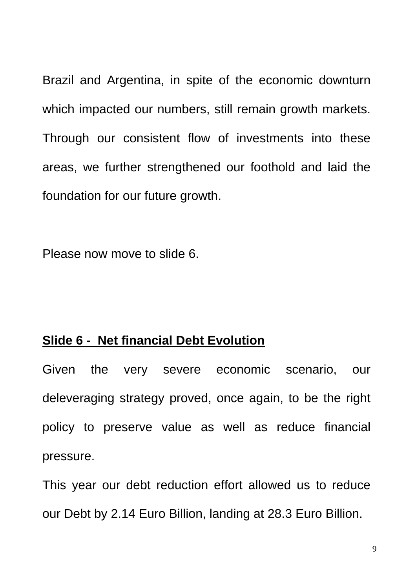Brazil and Argentina, in spite of the economic downturn which impacted our numbers, still remain growth markets. Through our consistent flow of investments into these areas, we further strengthened our foothold and laid the foundation for our future growth.

Please now move to slide 6.

## **Slide 6 - Net financial Debt Evolution**

Given the very severe economic scenario, our deleveraging strategy proved, once again, to be the right policy to preserve value as well as reduce financial pressure.

This year our debt reduction effort allowed us to reduce our Debt by 2.14 Euro Billion, landing at 28.3 Euro Billion.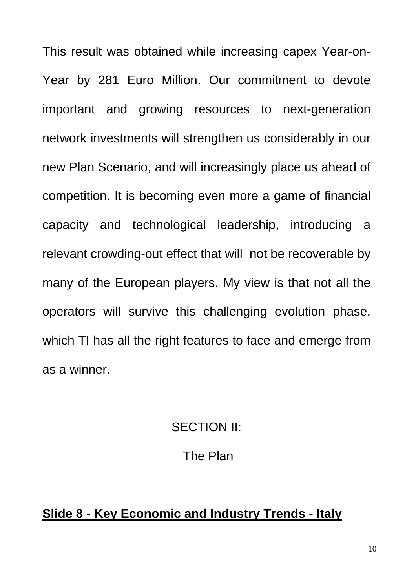This result was obtained while increasing capex Year-on-Year by 281 Euro Million. Our commitment to devote important and growing resources to next-generation network investments will strengthen us considerably in our new Plan Scenario, and will increasingly place us ahead of competition. It is becoming even more a game of financial capacity and technological leadership, introducing a relevant crowding-out effect that will not be recoverable by many of the European players. My view is that not all the operators will survive this challenging evolution phase, which TI has all the right features to face and emerge from as a winner.

## SECTION II:

## The Plan

# **Slide 8 - Key Economic and Industry Trends - Italy**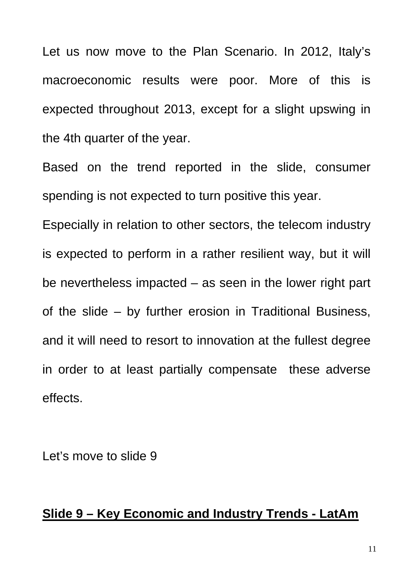Let us now move to the Plan Scenario. In 2012, Italy's macroeconomic results were poor. More of this is expected throughout 2013, except for a slight upswing in the 4th quarter of the year.

Based on the trend reported in the slide, consumer spending is not expected to turn positive this year.

Especially in relation to other sectors, the telecom industry is expected to perform in a rather resilient way, but it will be nevertheless impacted – as seen in the lower right part of the slide – by further erosion in Traditional Business, and it will need to resort to innovation at the fullest degree in order to at least partially compensate these adverse effects.

Let's move to slide 9

## **Slide 9 – Key Economic and Industry Trends - LatAm**

11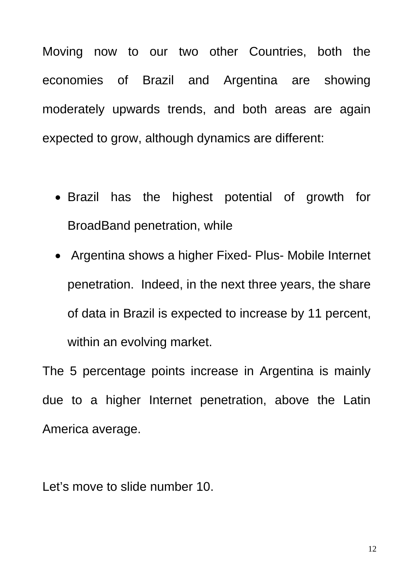Moving now to our two other Countries, both the economies of Brazil and Argentina are showing moderately upwards trends, and both areas are again expected to grow, although dynamics are different:

- Brazil has the highest potential of growth for BroadBand penetration, while
- Argentina shows a higher Fixed- Plus- Mobile Internet penetration. Indeed, in the next three years, the share of data in Brazil is expected to increase by 11 percent, within an evolving market.

The 5 percentage points increase in Argentina is mainly due to a higher Internet penetration, above the Latin America average.

Let's move to slide number 10.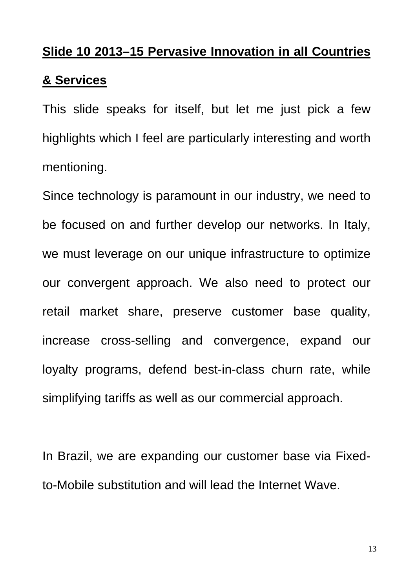# **Slide 10 2013–15 Pervasive Innovation in all Countries**

## **& Services**

This slide speaks for itself, but let me just pick a few highlights which I feel are particularly interesting and worth mentioning.

Since technology is paramount in our industry, we need to be focused on and further develop our networks. In Italy, we must leverage on our unique infrastructure to optimize our convergent approach. We also need to protect our retail market share, preserve customer base quality, increase cross-selling and convergence, expand our loyalty programs, defend best-in-class churn rate, while simplifying tariffs as well as our commercial approach.

In Brazil, we are expanding our customer base via Fixedto-Mobile substitution and will lead the Internet Wave.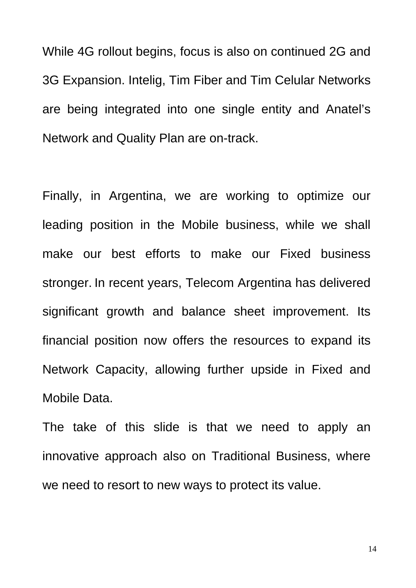While 4G rollout begins, focus is also on continued 2G and 3G Expansion. Intelig, Tim Fiber and Tim Celular Networks are being integrated into one single entity and Anatel's Network and Quality Plan are on-track.

Finally, in Argentina, we are working to optimize our leading position in the Mobile business, while we shall make our best efforts to make our Fixed business stronger. In recent years, Telecom Argentina has delivered significant growth and balance sheet improvement. Its financial position now offers the resources to expand its Network Capacity, allowing further upside in Fixed and Mobile Data.

The take of this slide is that we need to apply an innovative approach also on Traditional Business, where we need to resort to new ways to protect its value.

14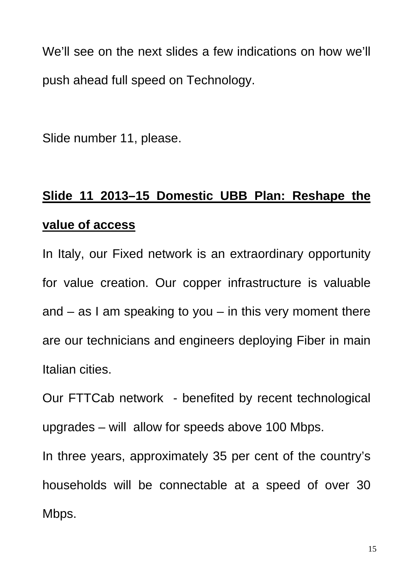We'll see on the next slides a few indications on how we'll push ahead full speed on Technology.

Slide number 11, please.

# **Slide 11 2013–15 Domestic UBB Plan: Reshape the value of access**

In Italy, our Fixed network is an extraordinary opportunity for value creation. Our copper infrastructure is valuable and  $-$  as I am speaking to you  $-$  in this very moment there are our technicians and engineers deploying Fiber in main Italian cities.

Our FTTCab network - benefited by recent technological upgrades – will allow for speeds above 100 Mbps.

In three years, approximately 35 per cent of the country's households will be connectable at a speed of over 30 Mbps.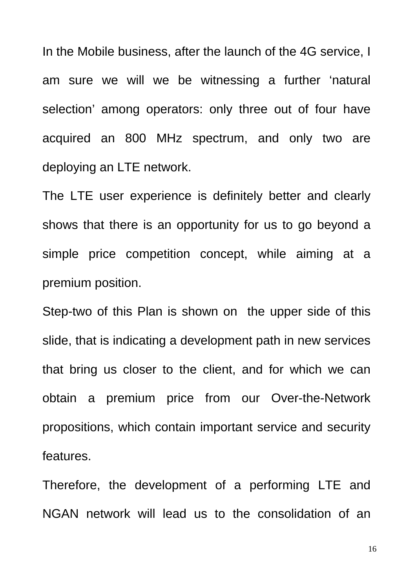In the Mobile business, after the launch of the 4G service, I am sure we will we be witnessing a further 'natural selection' among operators: only three out of four have acquired an 800 MHz spectrum, and only two are deploying an LTE network.

The LTE user experience is definitely better and clearly shows that there is an opportunity for us to go beyond a simple price competition concept, while aiming at a premium position.

Step-two of this Plan is shown on the upper side of this slide, that is indicating a development path in new services that bring us closer to the client, and for which we can obtain a premium price from our Over-the-Network propositions, which contain important service and security features.

Therefore, the development of a performing LTE and NGAN network will lead us to the consolidation of an

16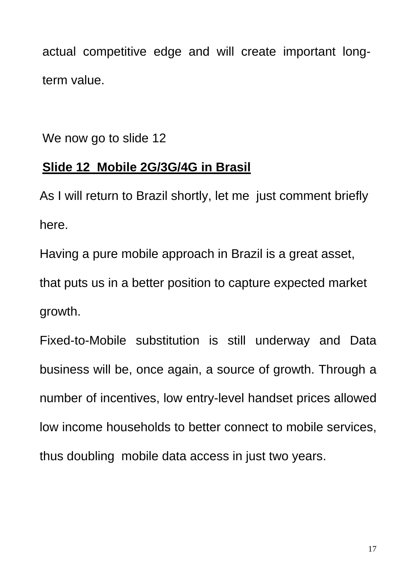actual competitive edge and will create important longterm value.

We now go to slide 12

# **Slide 12 Mobile 2G/3G/4G in Brasil**

As I will return to Brazil shortly, let me just comment briefly here.

Having a pure mobile approach in Brazil is a great asset, that puts us in a better position to capture expected market growth.

Fixed-to-Mobile substitution is still underway and Data business will be, once again, a source of growth. Through a number of incentives, low entry-level handset prices allowed low income households to better connect to mobile services, thus doubling mobile data access in just two years.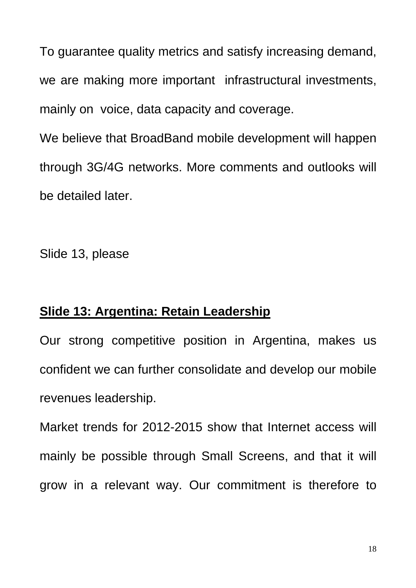To guarantee quality metrics and satisfy increasing demand, we are making more important infrastructural investments, mainly on voice, data capacity and coverage.

We believe that BroadBand mobile development will happen through 3G/4G networks. More comments and outlooks will be detailed later.

Slide 13, please

# **Slide 13: Argentina: Retain Leadership**

Our strong competitive position in Argentina, makes us confident we can further consolidate and develop our mobile revenues leadership.

Market trends for 2012-2015 show that Internet access will mainly be possible through Small Screens, and that it will grow in a relevant way. Our commitment is therefore to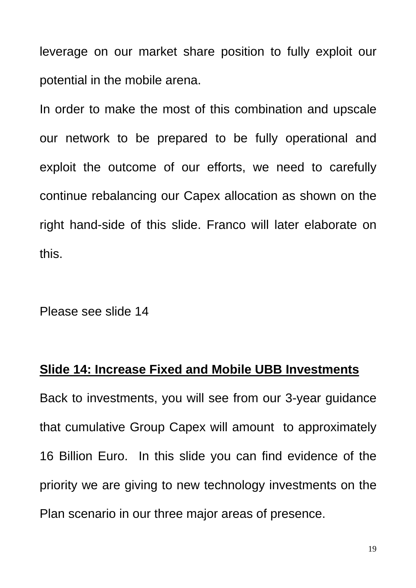leverage on our market share position to fully exploit our potential in the mobile arena.

In order to make the most of this combination and upscale our network to be prepared to be fully operational and exploit the outcome of our efforts, we need to carefully continue rebalancing our Capex allocation as shown on the right hand-side of this slide. Franco will later elaborate on this.

Please see slide 14

### **Slide 14: Increase Fixed and Mobile UBB Investments**

Back to investments, you will see from our 3-year guidance that cumulative Group Capex will amount to approximately 16 Billion Euro. In this slide you can find evidence of the priority we are giving to new technology investments on the Plan scenario in our three major areas of presence.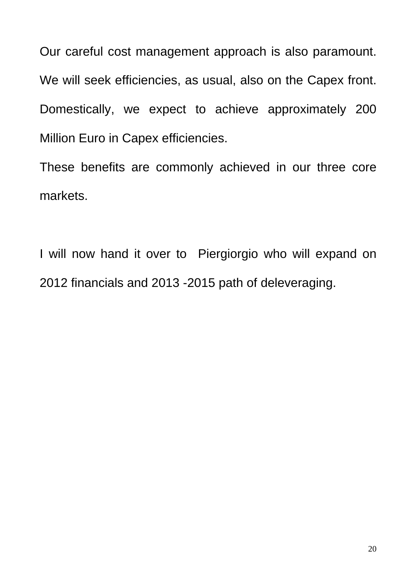Our careful cost management approach is also paramount. We will seek efficiencies, as usual, also on the Capex front. Domestically, we expect to achieve approximately 200 Million Euro in Capex efficiencies.

These benefits are commonly achieved in our three core markets.

I will now hand it over to Piergiorgio who will expand on 2012 financials and 2013 -2015 path of deleveraging.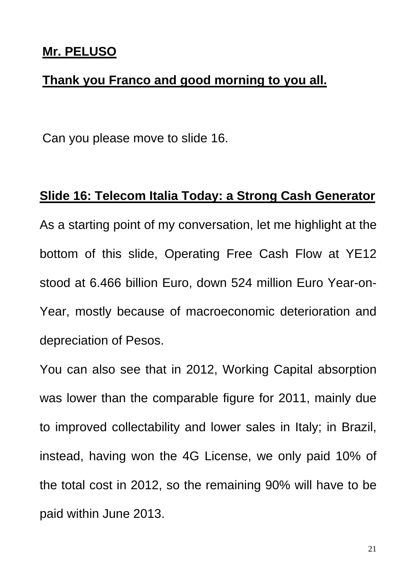## **Mr. PELUSO**

## **Thank you Franco and good morning to you all.**

Can you please move to slide 16.

# **Slide 16: Telecom Italia Today: a Strong Cash Generator**

As a starting point of my conversation, let me highlight at the bottom of this slide, Operating Free Cash Flow at YE12 stood at 6.466 billion Euro, down 524 million Euro Year-on-Year, mostly because of macroeconomic deterioration and depreciation of Pesos.

You can also see that in 2012, Working Capital absorption was lower than the comparable figure for 2011, mainly due to improved collectability and lower sales in Italy; in Brazil, instead, having won the 4G License, we only paid 10% of the total cost in 2012, so the remaining 90% will have to be paid within June 2013.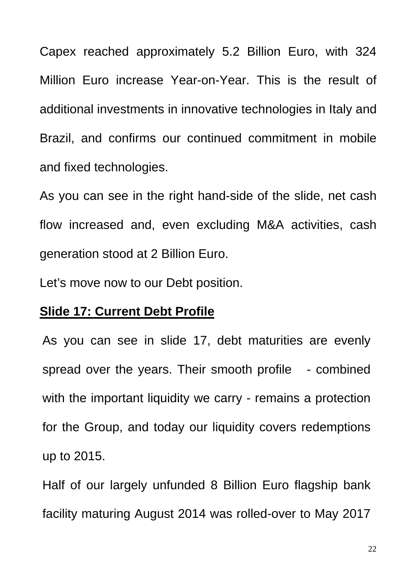Capex reached approximately 5.2 Billion Euro, with 324 Million Euro increase Year-on-Year. This is the result of additional investments in innovative technologies in Italy and Brazil, and confirms our continued commitment in mobile and fixed technologies.

As you can see in the right hand-side of the slide, net cash flow increased and, even excluding M&A activities, cash generation stood at 2 Billion Euro.

Let's move now to our Debt position.

## **Slide 17: Current Debt Profile**

As you can see in slide 17, debt maturities are evenly spread over the years. Their smooth profile - combined with the important liquidity we carry - remains a protection for the Group, and today our liquidity covers redemptions up to 2015.

Half of our largely unfunded 8 Billion Euro flagship bank facility maturing August 2014 was rolled-over to May 2017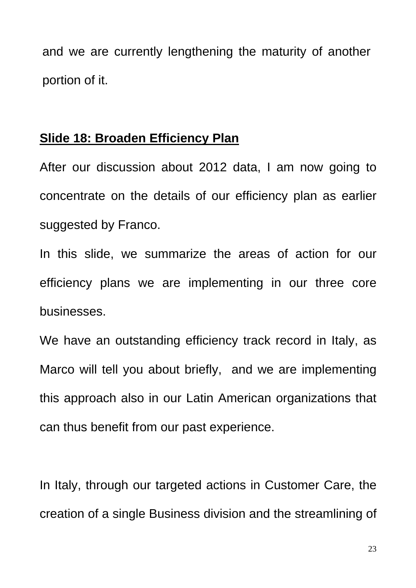and we are currently lengthening the maturity of another portion of it.

### **Slide 18: Broaden Efficiency Plan**

After our discussion about 2012 data, I am now going to concentrate on the details of our efficiency plan as earlier suggested by Franco.

In this slide, we summarize the areas of action for our efficiency plans we are implementing in our three core businesses.

We have an outstanding efficiency track record in Italy, as Marco will tell you about briefly, and we are implementing this approach also in our Latin American organizations that can thus benefit from our past experience.

In Italy, through our targeted actions in Customer Care, the creation of a single Business division and the streamlining of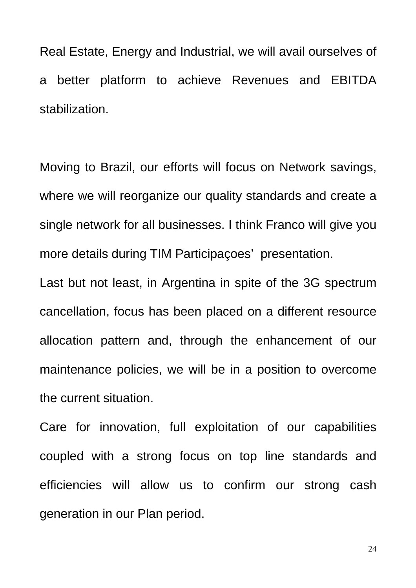Real Estate, Energy and Industrial, we will avail ourselves of a better platform to achieve Revenues and EBITDA stabilization.

Moving to Brazil, our efforts will focus on Network savings, where we will reorganize our quality standards and create a single network for all businesses. I think Franco will give you more details during TIM Participaçoes' presentation.

Last but not least, in Argentina in spite of the 3G spectrum cancellation, focus has been placed on a different resource allocation pattern and, through the enhancement of our maintenance policies, we will be in a position to overcome the current situation.

Care for innovation, full exploitation of our capabilities coupled with a strong focus on top line standards and efficiencies will allow us to confirm our strong cash generation in our Plan period.

24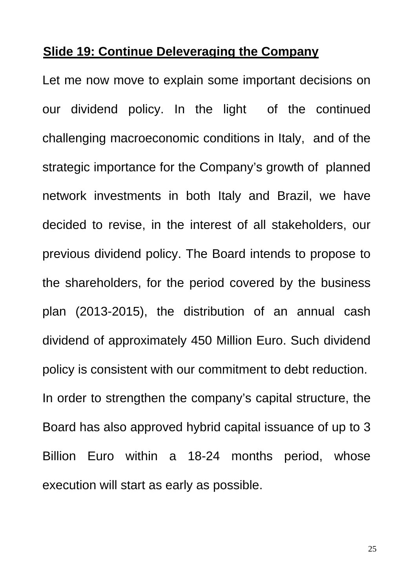## **Slide 19: Continue Deleveraging the Company**

Let me now move to explain some important decisions on our dividend policy. In the light of the continued challenging macroeconomic conditions in Italy, and of the strategic importance for the Company's growth of planned network investments in both Italy and Brazil, we have decided to revise, in the interest of all stakeholders, our previous dividend policy. The Board intends to propose to the shareholders, for the period covered by the business plan (2013-2015), the distribution of an annual cash dividend of approximately 450 Million Euro. Such dividend policy is consistent with our commitment to debt reduction. In order to strengthen the company's capital structure, the Board has also approved hybrid capital issuance of up to 3 Billion Euro within a 18-24 months period, whose execution will start as early as possible.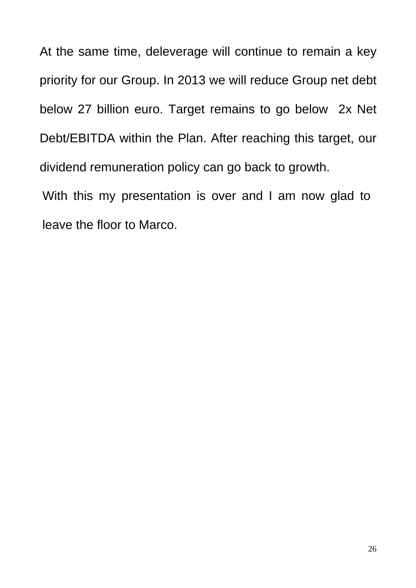At the same time, deleverage will continue to remain a key priority for our Group. In 2013 we will reduce Group net debt below 27 billion euro. Target remains to go below 2x Net Debt/EBITDA within the Plan. After reaching this target, our dividend remuneration policy can go back to growth.

With this my presentation is over and I am now glad to leave the floor to Marco.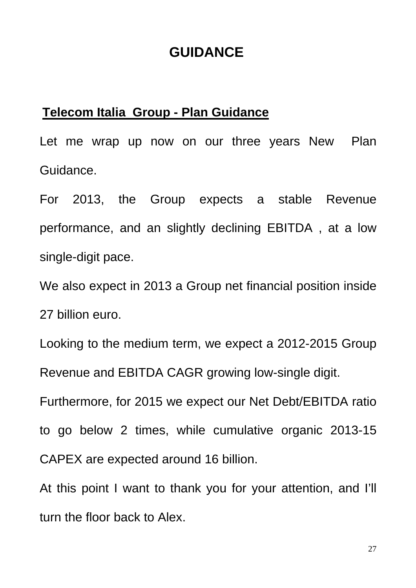# **GUIDANCE**

### **Telecom Italia Group - Plan Guidance**

Let me wrap up now on our three years New Plan Guidance.

For 2013, the Group expects a stable Revenue performance, and an slightly declining EBITDA , at a low single-digit pace.

We also expect in 2013 a Group net financial position inside 27 billion euro.

Looking to the medium term, we expect a 2012-2015 Group Revenue and EBITDA CAGR growing low-single digit.

Furthermore, for 2015 we expect our Net Debt/EBITDA ratio

to go below 2 times, while cumulative organic 2013-15 CAPEX are expected around 16 billion.

At this point I want to thank you for your attention, and I'll turn the floor back to Alex.

27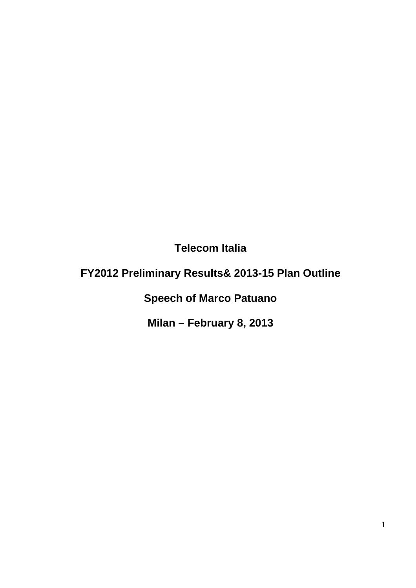**Telecom Italia** 

# **FY2012 Preliminary Results& 2013-15 Plan Outline**

**Speech of Marco Patuano** 

**Milan – February 8, 2013**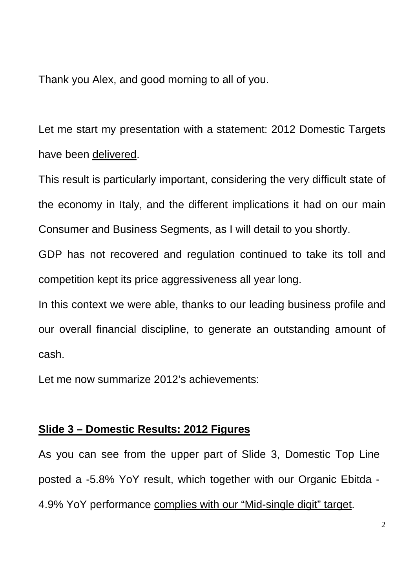Thank you Alex, and good morning to all of you.

Let me start my presentation with a statement: 2012 Domestic Targets have been delivered.

This result is particularly important, considering the very difficult state of the economy in Italy, and the different implications it had on our main Consumer and Business Segments, as I will detail to you shortly.

GDP has not recovered and regulation continued to take its toll and competition kept its price aggressiveness all year long.

In this context we were able, thanks to our leading business profile and our overall financial discipline, to generate an outstanding amount of cash.

Let me now summarize 2012's achievements:

#### **Slide 3 – Domestic Results: 2012 Figures**

As you can see from the upper part of Slide 3, Domestic Top Line posted a -5.8% YoY result, which together with our Organic Ebitda - 4.9% YoY performance complies with our "Mid-single digit" target.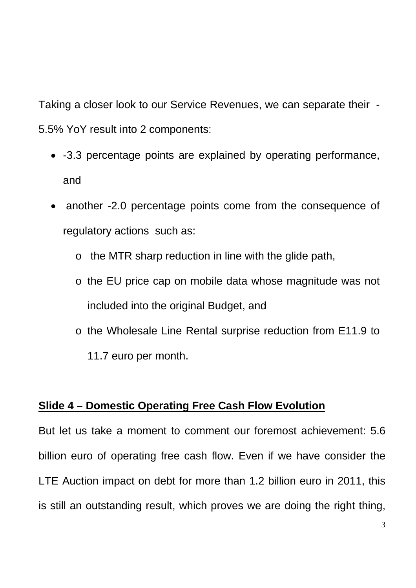Taking a closer look to our Service Revenues, we can separate their - 5.5% YoY result into 2 components:

- -3.3 percentage points are explained by operating performance, and
- another -2.0 percentage points come from the consequence of regulatory actions such as:
	- o the MTR sharp reduction in line with the glide path,
	- o the EU price cap on mobile data whose magnitude was not included into the original Budget, and
	- o the Wholesale Line Rental surprise reduction from E11.9 to 11.7 euro per month.

## **Slide 4 – Domestic Operating Free Cash Flow Evolution**

But let us take a moment to comment our foremost achievement: 5.6 billion euro of operating free cash flow. Even if we have consider the LTE Auction impact on debt for more than 1.2 billion euro in 2011, this is still an outstanding result, which proves we are doing the right thing,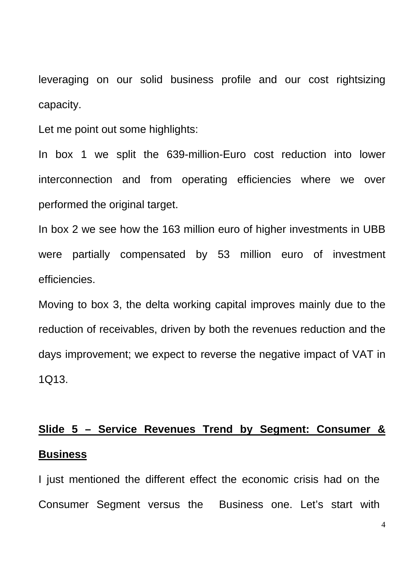leveraging on our solid business profile and our cost rightsizing capacity.

Let me point out some highlights:

In box 1 we split the 639-million-Euro cost reduction into lower interconnection and from operating efficiencies where we over performed the original target.

In box 2 we see how the 163 million euro of higher investments in UBB were partially compensated by 53 million euro of investment efficiencies.

Moving to box 3, the delta working capital improves mainly due to the reduction of receivables, driven by both the revenues reduction and the days improvement; we expect to reverse the negative impact of VAT in 1Q13.

# **Slide 5 – Service Revenues Trend by Segment: Consumer & Business**

I just mentioned the different effect the economic crisis had on the Consumer Segment versus the Business one. Let's start with

4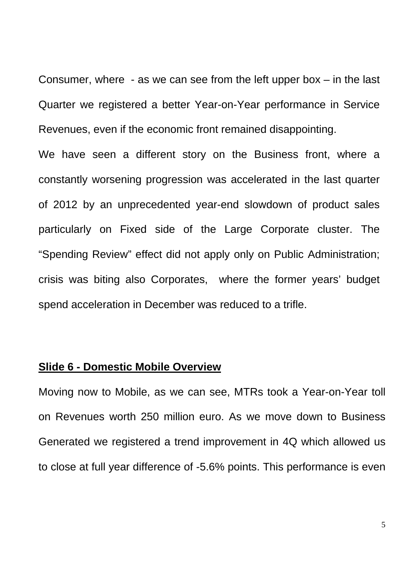Consumer, where - as we can see from the left upper box – in the last Quarter we registered a better Year-on-Year performance in Service Revenues, even if the economic front remained disappointing.

We have seen a different story on the Business front, where a constantly worsening progression was accelerated in the last quarter of 2012 by an unprecedented year-end slowdown of product sales particularly on Fixed side of the Large Corporate cluster. The "Spending Review" effect did not apply only on Public Administration; crisis was biting also Corporates, where the former years' budget spend acceleration in December was reduced to a trifle.

#### **Slide 6 - Domestic Mobile Overview**

Moving now to Mobile, as we can see, MTRs took a Year-on-Year toll on Revenues worth 250 million euro. As we move down to Business Generated we registered a trend improvement in 4Q which allowed us to close at full year difference of -5.6% points. This performance is even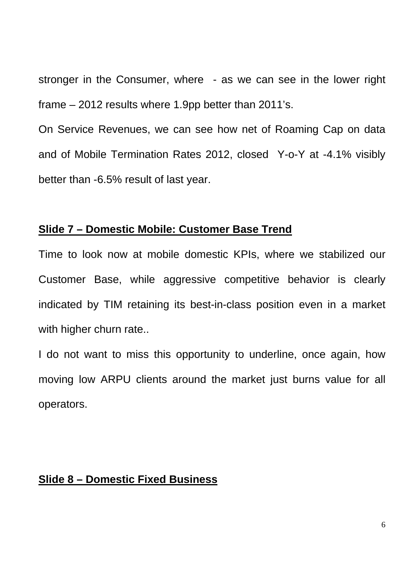stronger in the Consumer, where - as we can see in the lower right frame – 2012 results where 1.9pp better than 2011's.

On Service Revenues, we can see how net of Roaming Cap on data and of Mobile Termination Rates 2012, closed Y-o-Y at -4.1% visibly better than -6.5% result of last year.

#### **Slide 7 – Domestic Mobile: Customer Base Trend**

Time to look now at mobile domestic KPIs, where we stabilized our Customer Base, while aggressive competitive behavior is clearly indicated by TIM retaining its best-in-class position even in a market with higher churn rate..

I do not want to miss this opportunity to underline, once again, how moving low ARPU clients around the market just burns value for all operators.

#### **Slide 8 – Domestic Fixed Business**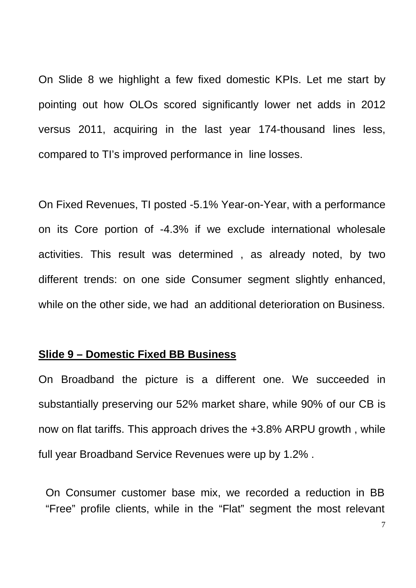On Slide 8 we highlight a few fixed domestic KPIs. Let me start by pointing out how OLOs scored significantly lower net adds in 2012 versus 2011, acquiring in the last year 174-thousand lines less, compared to TI's improved performance in line losses.

On Fixed Revenues, TI posted -5.1% Year-on-Year, with a performance on its Core portion of -4.3% if we exclude international wholesale activities. This result was determined , as already noted, by two different trends: on one side Consumer segment slightly enhanced, while on the other side, we had an additional deterioration on Business.

#### **Slide 9 – Domestic Fixed BB Business**

On Broadband the picture is a different one. We succeeded in substantially preserving our 52% market share, while 90% of our CB is now on flat tariffs. This approach drives the +3.8% ARPU growth , while full year Broadband Service Revenues were up by 1.2% .

On Consumer customer base mix, we recorded a reduction in BB "Free" profile clients, while in the "Flat" segment the most relevant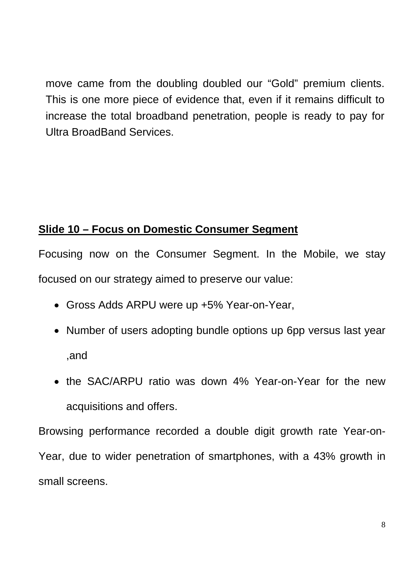move came from the doubling doubled our "Gold" premium clients. This is one more piece of evidence that, even if it remains difficult to increase the total broadband penetration, people is ready to pay for Ultra BroadBand Services.

## **Slide 10 – Focus on Domestic Consumer Segment**

Focusing now on the Consumer Segment. In the Mobile, we stay focused on our strategy aimed to preserve our value:

- Gross Adds ARPU were up +5% Year-on-Year,
- Number of users adopting bundle options up 6pp versus last year ,and
- the SAC/ARPU ratio was down 4% Year-on-Year for the new acquisitions and offers.

Browsing performance recorded a double digit growth rate Year-on-Year, due to wider penetration of smartphones, with a 43% growth in small screens.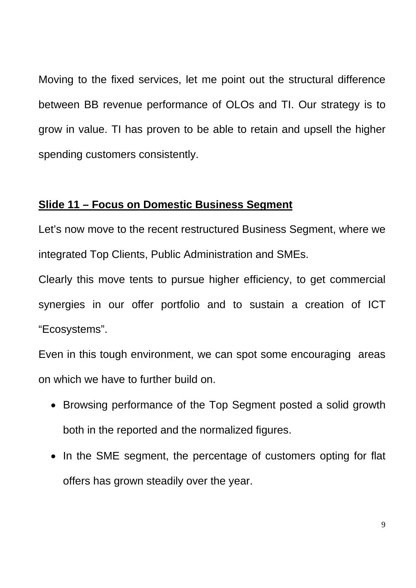Moving to the fixed services, let me point out the structural difference between BB revenue performance of OLOs and TI. Our strategy is to grow in value. TI has proven to be able to retain and upsell the higher spending customers consistently.

#### **Slide 11 – Focus on Domestic Business Segment**

Let's now move to the recent restructured Business Segment, where we integrated Top Clients, Public Administration and SMEs.

Clearly this move tents to pursue higher efficiency, to get commercial synergies in our offer portfolio and to sustain a creation of ICT "Ecosystems".

Even in this tough environment, we can spot some encouraging areas on which we have to further build on.

- Browsing performance of the Top Segment posted a solid growth both in the reported and the normalized figures.
- In the SME segment, the percentage of customers opting for flat offers has grown steadily over the year.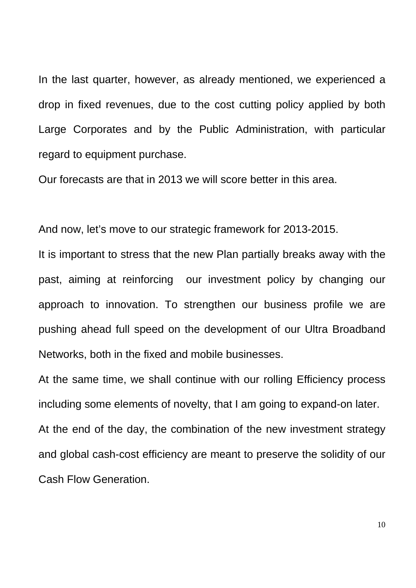In the last quarter, however, as already mentioned, we experienced a drop in fixed revenues, due to the cost cutting policy applied by both Large Corporates and by the Public Administration, with particular regard to equipment purchase.

Our forecasts are that in 2013 we will score better in this area.

And now, let's move to our strategic framework for 2013-2015.

It is important to stress that the new Plan partially breaks away with the past, aiming at reinforcing our investment policy by changing our approach to innovation. To strengthen our business profile we are pushing ahead full speed on the development of our Ultra Broadband Networks, both in the fixed and mobile businesses.

At the same time, we shall continue with our rolling Efficiency process including some elements of novelty, that I am going to expand-on later. At the end of the day, the combination of the new investment strategy and global cash-cost efficiency are meant to preserve the solidity of our Cash Flow Generation.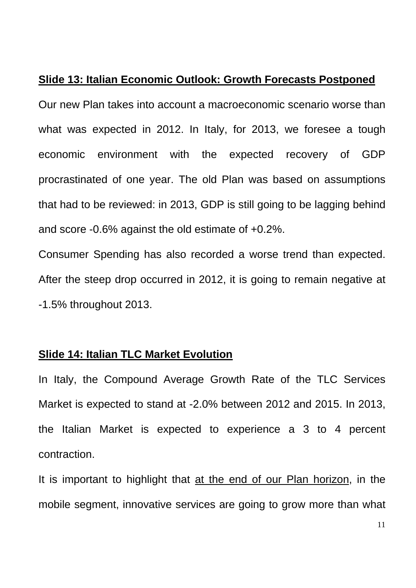#### **Slide 13: Italian Economic Outlook: Growth Forecasts Postponed**

Our new Plan takes into account a macroeconomic scenario worse than what was expected in 2012. In Italy, for 2013, we foresee a tough economic environment with the expected recovery of GDP procrastinated of one year. The old Plan was based on assumptions that had to be reviewed: in 2013, GDP is still going to be lagging behind and score -0.6% against the old estimate of +0.2%.

Consumer Spending has also recorded a worse trend than expected. After the steep drop occurred in 2012, it is going to remain negative at -1.5% throughout 2013.

#### **Slide 14: Italian TLC Market Evolution**

In Italy, the Compound Average Growth Rate of the TLC Services Market is expected to stand at -2.0% between 2012 and 2015. In 2013, the Italian Market is expected to experience a 3 to 4 percent contraction.

It is important to highlight that at the end of our Plan horizon, in the mobile segment, innovative services are going to grow more than what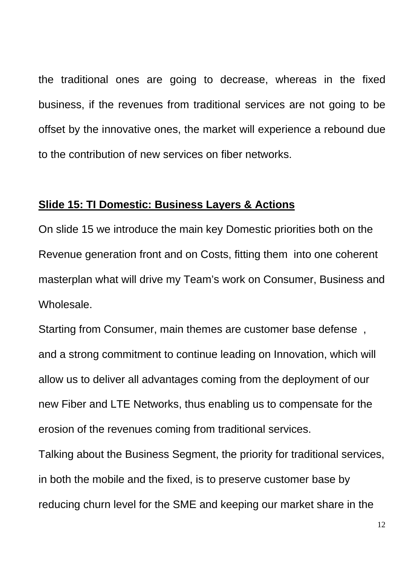the traditional ones are going to decrease, whereas in the fixed business, if the revenues from traditional services are not going to be offset by the innovative ones, the market will experience a rebound due to the contribution of new services on fiber networks.

#### **Slide 15: TI Domestic: Business Layers & Actions**

On slide 15 we introduce the main key Domestic priorities both on the Revenue generation front and on Costs, fitting them into one coherent masterplan what will drive my Team's work on Consumer, Business and Wholesale.

Starting from Consumer, main themes are customer base defense , and a strong commitment to continue leading on Innovation, which will allow us to deliver all advantages coming from the deployment of our new Fiber and LTE Networks, thus enabling us to compensate for the erosion of the revenues coming from traditional services.

Talking about the Business Segment, the priority for traditional services, in both the mobile and the fixed, is to preserve customer base by reducing churn level for the SME and keeping our market share in the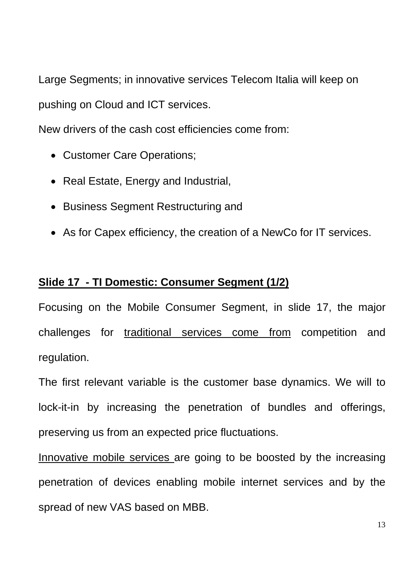Large Segments; in innovative services Telecom Italia will keep on pushing on Cloud and ICT services.

New drivers of the cash cost efficiencies come from:

- Customer Care Operations;
- Real Estate, Energy and Industrial,
- Business Segment Restructuring and
- As for Capex efficiency, the creation of a NewCo for IT services.

## **Slide 17 - TI Domestic: Consumer Segment (1/2)**

Focusing on the Mobile Consumer Segment, in slide 17, the major challenges for traditional services come from competition and regulation.

The first relevant variable is the customer base dynamics. We will to lock-it-in by increasing the penetration of bundles and offerings, preserving us from an expected price fluctuations.

Innovative mobile services are going to be boosted by the increasing penetration of devices enabling mobile internet services and by the spread of new VAS based on MBB.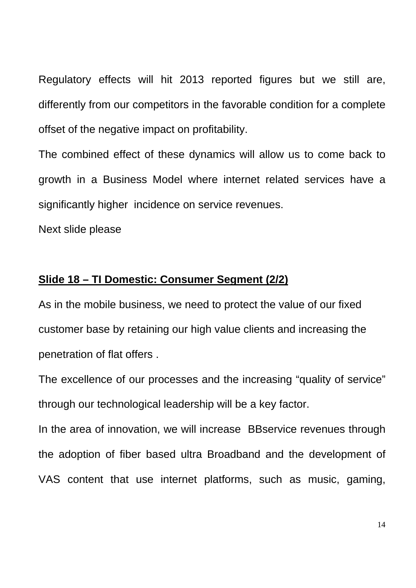Regulatory effects will hit 2013 reported figures but we still are, differently from our competitors in the favorable condition for a complete offset of the negative impact on profitability.

The combined effect of these dynamics will allow us to come back to growth in a Business Model where internet related services have a significantly higher incidence on service revenues.

Next slide please

#### **Slide 18 – TI Domestic: Consumer Segment (2/2)**

As in the mobile business, we need to protect the value of our fixed customer base by retaining our high value clients and increasing the penetration of flat offers .

The excellence of our processes and the increasing "quality of service" through our technological leadership will be a key factor.

In the area of innovation, we will increase BBservice revenues through the adoption of fiber based ultra Broadband and the development of VAS content that use internet platforms, such as music, gaming,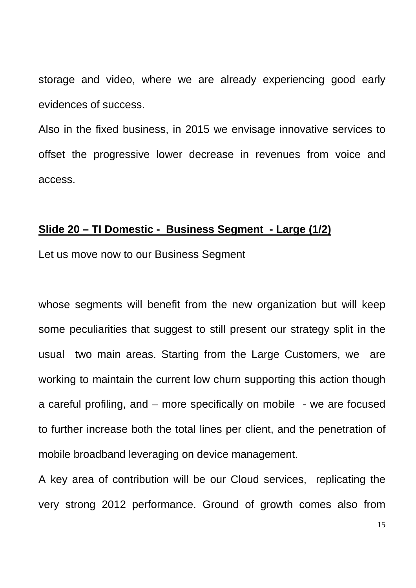storage and video, where we are already experiencing good early evidences of success.

Also in the fixed business, in 2015 we envisage innovative services to offset the progressive lower decrease in revenues from voice and access.

### **Slide 20 – TI Domestic - Business Segment - Large (1/2)**

Let us move now to our Business Segment

whose segments will benefit from the new organization but will keep some peculiarities that suggest to still present our strategy split in the usual two main areas. Starting from the Large Customers, we are working to maintain the current low churn supporting this action though a careful profiling, and – more specifically on mobile - we are focused to further increase both the total lines per client, and the penetration of mobile broadband leveraging on device management.

A key area of contribution will be our Cloud services, replicating the very strong 2012 performance. Ground of growth comes also from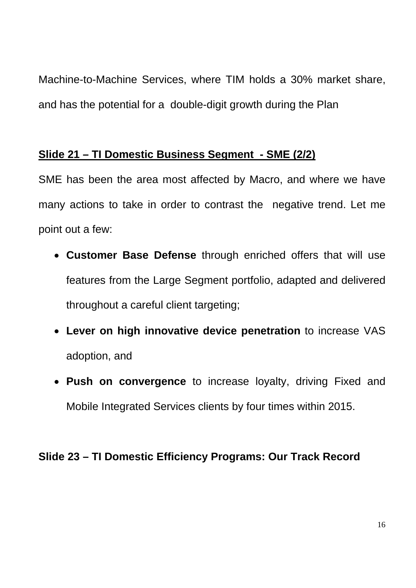Machine-to-Machine Services, where TIM holds a 30% market share, and has the potential for a double-digit growth during the Plan

### **Slide 21 – TI Domestic Business Segment - SME (2/2)**

SME has been the area most affected by Macro, and where we have many actions to take in order to contrast the negative trend. Let me point out a few:

- **Customer Base Defense** through enriched offers that will use features from the Large Segment portfolio, adapted and delivered throughout a careful client targeting;
- **Lever on high innovative device penetration** to increase VAS adoption, and
- **Push on convergence** to increase loyalty, driving Fixed and Mobile Integrated Services clients by four times within 2015.

### **Slide 23 – TI Domestic Efficiency Programs: Our Track Record**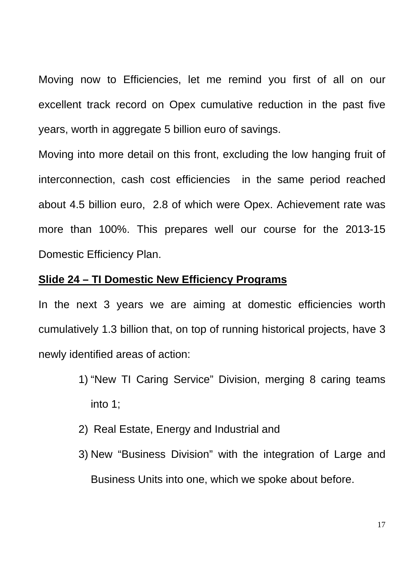Moving now to Efficiencies, let me remind you first of all on our excellent track record on Opex cumulative reduction in the past five years, worth in aggregate 5 billion euro of savings.

Moving into more detail on this front, excluding the low hanging fruit of interconnection, cash cost efficiencies in the same period reached about 4.5 billion euro, 2.8 of which were Opex. Achievement rate was more than 100%. This prepares well our course for the 2013-15 Domestic Efficiency Plan.

#### **Slide 24 – TI Domestic New Efficiency Programs**

In the next 3 years we are aiming at domestic efficiencies worth cumulatively 1.3 billion that, on top of running historical projects, have 3 newly identified areas of action:

- 1) "New TI Caring Service" Division, merging 8 caring teams into 1;
- 2) Real Estate, Energy and Industrial and
- 3) New "Business Division" with the integration of Large and Business Units into one, which we spoke about before.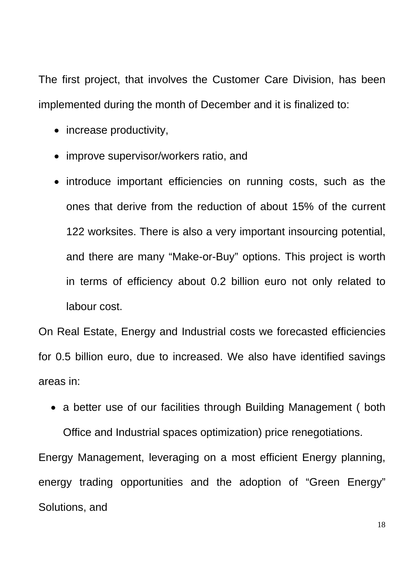The first project, that involves the Customer Care Division, has been implemented during the month of December and it is finalized to:

- increase productivity,
- improve supervisor/workers ratio, and
- introduce important efficiencies on running costs, such as the ones that derive from the reduction of about 15% of the current 122 worksites. There is also a very important insourcing potential, and there are many "Make-or-Buy" options. This project is worth in terms of efficiency about 0.2 billion euro not only related to labour cost.

On Real Estate, Energy and Industrial costs we forecasted efficiencies for 0.5 billion euro, due to increased. We also have identified savings areas in:

• a better use of our facilities through Building Management (both Office and Industrial spaces optimization) price renegotiations.

Energy Management, leveraging on a most efficient Energy planning, energy trading opportunities and the adoption of "Green Energy" Solutions, and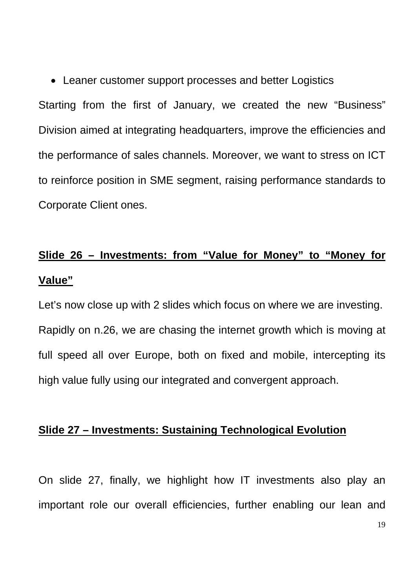• Leaner customer support processes and better Logistics

Starting from the first of January, we created the new "Business" Division aimed at integrating headquarters, improve the efficiencies and the performance of sales channels. Moreover, we want to stress on ICT to reinforce position in SME segment, raising performance standards to Corporate Client ones.

# **Slide 26 – Investments: from "Value for Money" to "Money for Value"**

Let's now close up with 2 slides which focus on where we are investing. Rapidly on n.26, we are chasing the internet growth which is moving at full speed all over Europe, both on fixed and mobile, intercepting its high value fully using our integrated and convergent approach.

#### **Slide 27 – Investments: Sustaining Technological Evolution**

On slide 27, finally, we highlight how IT investments also play an important role our overall efficiencies, further enabling our lean and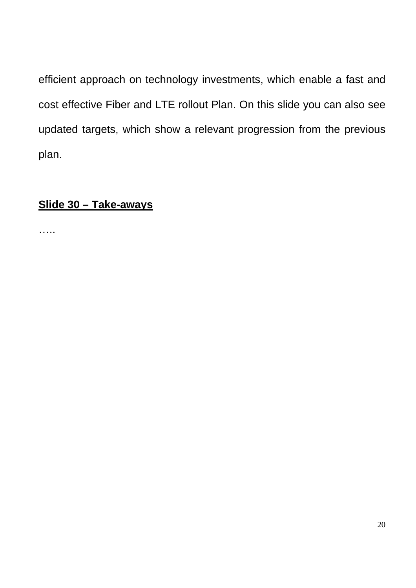efficient approach on technology investments, which enable a fast and cost effective Fiber and LTE rollout Plan. On this slide you can also see updated targets, which show a relevant progression from the previous plan.

### **Slide 30 – Take-aways**

……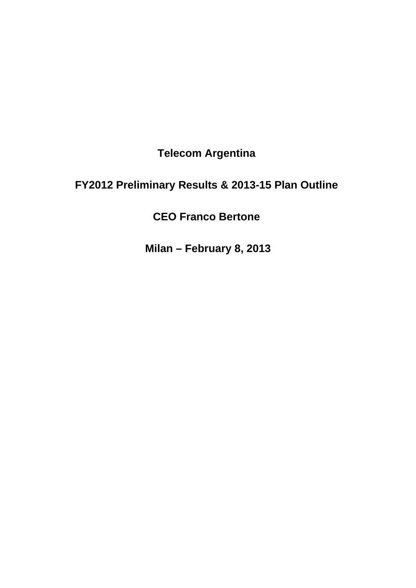**Telecom Argentina** 

# **FY2012 Preliminary Results & 2013-15 Plan Outline**

**CEO Franco Bertone** 

**Milan – February 8, 2013**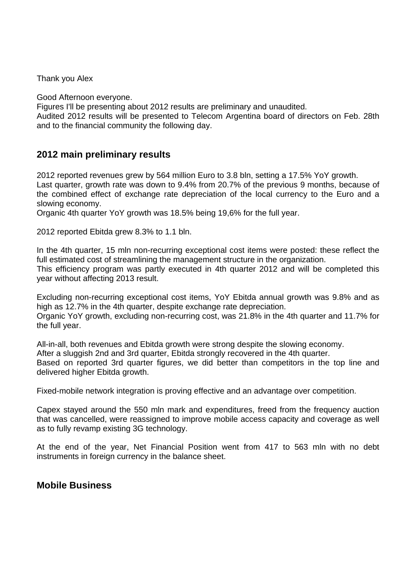Thank you Alex

Good Afternoon everyone.

Figures I'll be presenting about 2012 results are preliminary and unaudited.

Audited 2012 results will be presented to Telecom Argentina board of directors on Feb. 28th and to the financial community the following day.

#### **2012 main preliminary results**

2012 reported revenues grew by 564 million Euro to 3.8 bln, setting a 17.5% YoY growth. Last quarter, growth rate was down to 9.4% from 20.7% of the previous 9 months, because of the combined effect of exchange rate depreciation of the local currency to the Euro and a slowing economy.

Organic 4th quarter YoY growth was 18.5% being 19,6% for the full year.

2012 reported Ebitda grew 8.3% to 1.1 bln.

In the 4th quarter, 15 mln non-recurring exceptional cost items were posted: these reflect the full estimated cost of streamlining the management structure in the organization. This efficiency program was partly executed in 4th quarter 2012 and will be completed this year without affecting 2013 result.

Excluding non-recurring exceptional cost items, YoY Ebitda annual growth was 9.8% and as high as 12.7% in the 4th quarter, despite exchange rate depreciation. Organic YoY growth, excluding non-recurring cost, was 21.8% in the 4th quarter and 11.7% for the full year.

All-in-all, both revenues and Ebitda growth were strong despite the slowing economy. After a sluggish 2nd and 3rd quarter, Ebitda strongly recovered in the 4th quarter. Based on reported 3rd quarter figures, we did better than competitors in the top line and delivered higher Ebitda growth.

Fixed-mobile network integration is proving effective and an advantage over competition.

Capex stayed around the 550 mln mark and expenditures, freed from the frequency auction that was cancelled, were reassigned to improve mobile access capacity and coverage as well as to fully revamp existing 3G technology.

At the end of the year, Net Financial Position went from 417 to 563 mln with no debt instruments in foreign currency in the balance sheet.

#### **Mobile Business**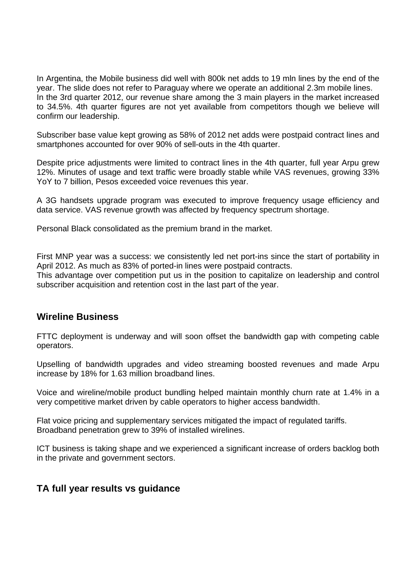In Argentina, the Mobile business did well with 800k net adds to 19 mln lines by the end of the year. The slide does not refer to Paraguay where we operate an additional 2.3m mobile lines. In the 3rd quarter 2012, our revenue share among the 3 main players in the market increased to 34.5%. 4th quarter figures are not yet available from competitors though we believe will confirm our leadership.

Subscriber base value kept growing as 58% of 2012 net adds were postpaid contract lines and smartphones accounted for over 90% of sell-outs in the 4th quarter.

Despite price adjustments were limited to contract lines in the 4th quarter, full year Arpu grew 12%. Minutes of usage and text traffic were broadly stable while VAS revenues, growing 33% YoY to 7 billion, Pesos exceeded voice revenues this year.

A 3G handsets upgrade program was executed to improve frequency usage efficiency and data service. VAS revenue growth was affected by frequency spectrum shortage.

Personal Black consolidated as the premium brand in the market.

First MNP year was a success: we consistently led net port-ins since the start of portability in April 2012. As much as 83% of ported-in lines were postpaid contracts.

This advantage over competition put us in the position to capitalize on leadership and control subscriber acquisition and retention cost in the last part of the year.

#### **Wireline Business**

FTTC deployment is underway and will soon offset the bandwidth gap with competing cable operators.

Upselling of bandwidth upgrades and video streaming boosted revenues and made Arpu increase by 18% for 1.63 million broadband lines.

Voice and wireline/mobile product bundling helped maintain monthly churn rate at 1.4% in a very competitive market driven by cable operators to higher access bandwidth.

Flat voice pricing and supplementary services mitigated the impact of regulated tariffs. Broadband penetration grew to 39% of installed wirelines.

ICT business is taking shape and we experienced a significant increase of orders backlog both in the private and government sectors.

#### **TA full year results vs guidance**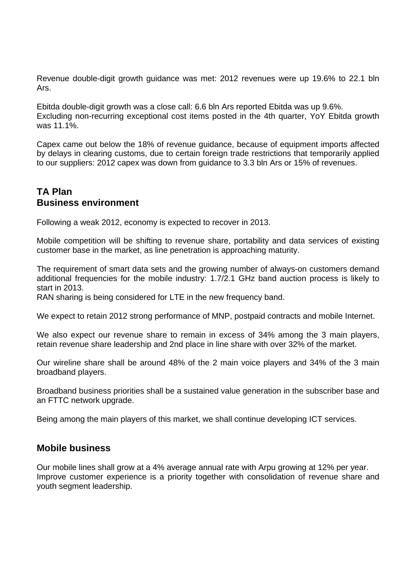Revenue double-digit growth guidance was met: 2012 revenues were up 19.6% to 22.1 bln Ars.

Ebitda double-digit growth was a close call: 6.6 bln Ars reported Ebitda was up 9.6%. Excluding non-recurring exceptional cost items posted in the 4th quarter, YoY Ebitda growth was 11.1%.

Capex came out below the 18% of revenue guidance, because of equipment imports affected by delays in clearing customs, due to certain foreign trade restrictions that temporarily applied to our suppliers: 2012 capex was down from guidance to 3.3 bln Ars or 15% of revenues.

#### **TA Plan Business environment**

Following a weak 2012, economy is expected to recover in 2013.

Mobile competition will be shifting to revenue share, portability and data services of existing customer base in the market, as line penetration is approaching maturity.

The requirement of smart data sets and the growing number of always-on customers demand additional frequencies for the mobile industry: 1.7/2.1 GHz band auction process is likely to start in 2013.

RAN sharing is being considered for LTE in the new frequency band.

We expect to retain 2012 strong performance of MNP, postpaid contracts and mobile Internet.

We also expect our revenue share to remain in excess of 34% among the 3 main players, retain revenue share leadership and 2nd place in line share with over 32% of the market.

Our wireline share shall be around 48% of the 2 main voice players and 34% of the 3 main broadband players.

Broadband business priorities shall be a sustained value generation in the subscriber base and an FTTC network upgrade.

Being among the main players of this market, we shall continue developing ICT services.

#### **Mobile business**

Our mobile lines shall grow at a 4% average annual rate with Arpu growing at 12% per year. Improve customer experience is a priority together with consolidation of revenue share and youth segment leadership.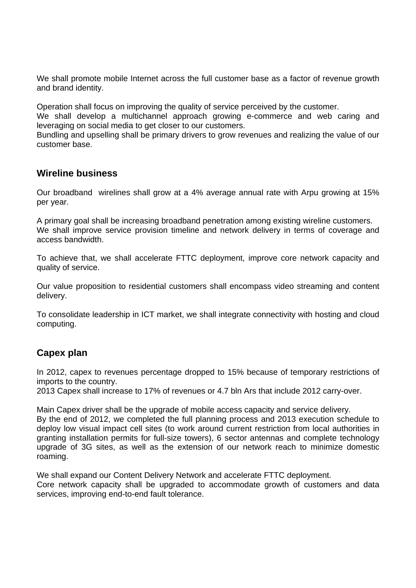We shall promote mobile Internet across the full customer base as a factor of revenue growth and brand identity.

Operation shall focus on improving the quality of service perceived by the customer.

We shall develop a multichannel approach growing e-commerce and web caring and leveraging on social media to get closer to our customers.

Bundling and upselling shall be primary drivers to grow revenues and realizing the value of our customer base.

#### **Wireline business**

Our broadband wirelines shall grow at a 4% average annual rate with Arpu growing at 15% per year.

A primary goal shall be increasing broadband penetration among existing wireline customers. We shall improve service provision timeline and network delivery in terms of coverage and access bandwidth.

To achieve that, we shall accelerate FTTC deployment, improve core network capacity and quality of service.

Our value proposition to residential customers shall encompass video streaming and content delivery.

To consolidate leadership in ICT market, we shall integrate connectivity with hosting and cloud computing.

#### **Capex plan**

In 2012, capex to revenues percentage dropped to 15% because of temporary restrictions of imports to the country.

2013 Capex shall increase to 17% of revenues or 4.7 bln Ars that include 2012 carry-over.

Main Capex driver shall be the upgrade of mobile access capacity and service delivery. By the end of 2012, we completed the full planning process and 2013 execution schedule to deploy low visual impact cell sites (to work around current restriction from local authorities in granting installation permits for full-size towers), 6 sector antennas and complete technology upgrade of 3G sites, as well as the extension of our network reach to minimize domestic roaming.

We shall expand our Content Delivery Network and accelerate FTTC deployment. Core network capacity shall be upgraded to accommodate growth of customers and data services, improving end-to-end fault tolerance.